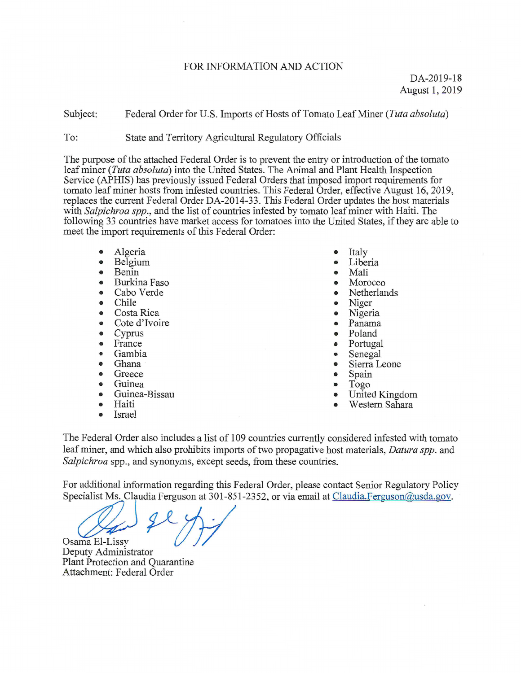#### FOR INFORMATION AND ACTION

Subject: Federal Order for U.S. Imports of Hosts of Tomato Leaf Miner (Tuta absoluta)

To: State and Territory Agricultural Regulatory Officials

The purpose of the attached Federal Order is to prevent the entry or introduction of the tomato leaf miner (Tuta absoluta) into the United States. The Animal and Plant Health Inspection Service (APHIS) has previously issued Federal Orders that imposed import requirements for tomato leaf miner hosts from infested countries. This Federal Order, effective August 16, 2019, replaces the current Federal Order DA-2014-33. This Federal Order updates the host materials with *Salpichroa spp.*, and the list of countries infested by tomato leaf miner with Haiti. The following 33 countries have market access for tomatoes into the United States, if they are able to meet the import requirements of this Federal Order:

- Algeria
- Belgium
- Benin
- Burkina Faso
- Cabo Verde
- Chile
- Costa Rica
- Cote d'Ivoire
- Cyprus
- France
- Gambia
- Ghana
- Greece
- Guinea
- Guinea-Bissau
- Haiti
- Israel
- Italy
- Liberia
- Mali
- Morocco
- Netherlands
- Niger
- Nigeria
- Panama
- Poland
- Portugal
- Senegal
- Sierra Leone
- Spain
- Togo
- United Kingdom
- Western Sahara

The Federal Order also includes a list of 109 countries currently considered infested with tomato leaf miner, and which also prohibits imports of two propagative host materials, *Datura spp*. and Salpichroa spp., and synonyms, except seeds, from these countries.

For additional information regarding this Federal Order, please contact Senior Regulatory Policy Specialist Ms. Claudia Ferguson at 301-851-2352, or via email at Claudia. Ferguson@usda.gov.

Osama El-Lissy

Deputy Administrator Plant Protection and Quarantine Attachment: Federal Order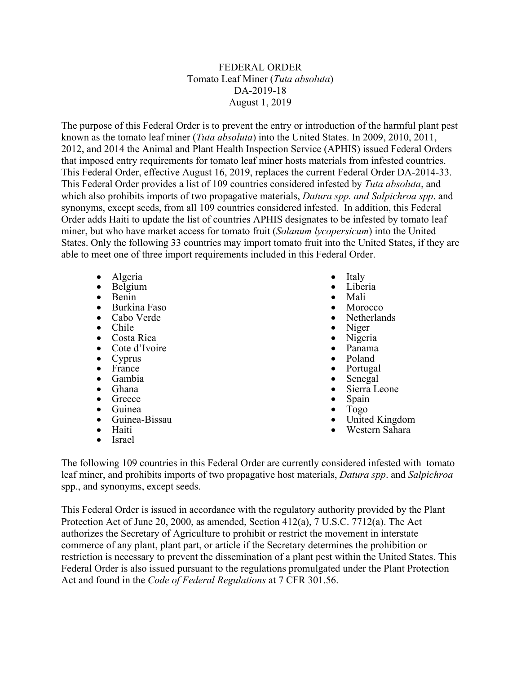### FEDERAL ORDER Tomato Leaf Miner (*Tuta absoluta*) DA-2019-18 August 1, 2019

The purpose of this Federal Order is to prevent the entry or introduction of the harmful plant pest known as the tomato leaf miner (*Tuta absoluta*) into the United States. In 2009, 2010, 2011, 2012, and 2014 the Animal and Plant Health Inspection Service (APHIS) issued Federal Orders that imposed entry requirements for tomato leaf miner hosts materials from infested countries. This Federal Order, effective August 16, 2019, replaces the current Federal Order DA-2014-33. This Federal Order provides a list of 109 countries considered infested by *Tuta absoluta*, and which also prohibits imports of two propagative materials, *Datura spp. and Salpichroa spp*. and synonyms, except seeds, from all 109 countries considered infested. In addition, this Federal Order adds Haiti to update the list of countries APHIS designates to be infested by tomato leaf miner, but who have market access for tomato fruit (*Solanum lycopersicum*) into the United States. Only the following 33 countries may import tomato fruit into the United States, if they are able to meet one of three import requirements included in this Federal Order.

- Algeria
- Belgium
- Benin<br>• Burkir
- **Burkina Faso**<br>Cabo Verde
- Cabo Verde
- Chile<br>• Costa
- Costa Rica
- Cote d'Ivoire
- Cyprus<br>• France
- France<br>• Gambia
- Gambia
- Ghana<br>• Greece
- 
- Ghana Sierra Leone<br>• Greece Spain<br>• Guinea Guinea Guinea Guinea Guinea Guinea Guinea Guinea Guinea Guinea Guinea Guinea Guinea Guinea Guinea Guinea Guinea Guinea Guinea Guinea • Greece • Spain • Guinea<br>• Guinea<br>• Guinea-Bissau • United Kingdom<br>• Haiti • Israel
- 
- 
- Italy
- Liberia
- 
- Mali<br>• Morocco
- Netherlands
- Niger<br>• Nigeri
- Nigeria
- Panama
- Poland<br>• Portuga
- Portugal<br>• Senegal
- Senegal<br>• Sierra Leone
- 
- 
- 
- 

The following 109 countries in this Federal Order are currently considered infested with tomato leaf miner, and prohibits imports of two propagative host materials, *Datura spp*. and *Salpichroa*  spp., and synonyms, except seeds.

This Federal Order is issued in accordance with the regulatory authority provided by the Plant Protection Act of June 20, 2000, as amended, Section 412(a), 7 U.S.C. 7712(a). The Act authorizes the Secretary of Agriculture to prohibit or restrict the movement in interstate commerce of any plant, plant part, or article if the Secretary determines the prohibition or restriction is necessary to prevent the dissemination of a plant pest within the United States. This Federal Order is also issued pursuant to the regulations promulgated under the Plant Protection Act and found in the *Code of Federal Regulations* at 7 CFR 301.56.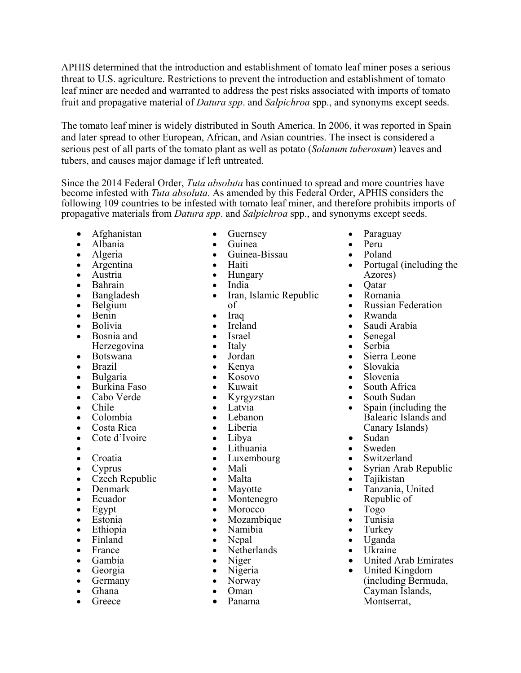APHIS determined that the introduction and establishment of tomato leaf miner poses a serious threat to U.S. agriculture. Restrictions to prevent the introduction and establishment of tomato leaf miner are needed and warranted to address the pest risks associated with imports of tomato fruit and propagative material of *Datura spp*. and *Salpichroa* spp., and synonyms except seeds.

The tomato leaf miner is widely distributed in South America. In 2006, it was reported in Spain and later spread to other European, African, and Asian countries. The insect is considered a serious pest of all parts of the tomato plant as well as potato (*Solanum tuberosum*) leaves and tubers, and causes major damage if left untreated.

Since the 2014 Federal Order, *Tuta absoluta* has continued to spread and more countries have become infested with *Tuta absoluta*. As amended by this Federal Order, APHIS considers the following 109 countries to be infested with tomato leaf miner, and therefore prohibits imports of propagative materials from *Datura spp*. and *Salpichroa* spp., and synonyms except seeds.

- Afghanistan
- Albania
- Algeria
- Argentina
- Austria
- Bahrain
- Bangladesh
- Belgium
- Benin
- Bolivia
- Bosnia and
- Herzegovina • Botswana
- Brazil
- Bulgaria
- Burkina Faso
- Cabo Verde
- Chile
- Colombia
- Costa Rica
- Cote d'Ivoire
- •
- Croatia
- Cyprus
- Czech Republic
- Denmark
- Ecuador
- Egypt
- Estonia
- Ethiopia
- Finland
- France
- Gambia
- Georgia
- Germany
- Ghana
- Greece
- Guernsey
- Guinea
- Guinea-Bissau
- Haiti
- Hungary
- India
- Iran, Islamic Republic of
- Iraq
- Ireland
- Israel
- Italy
- Jordan
- Kenya
- Kosovo
- Kuwait
- Kyrgyzstan
- Latvia
- Lebanon
- Liberia
- Libya
- Lithuania
- Luxembourg
- Mali
- Malta
- Mayotte
- Montenegro
- **Morocco**
- Mozambique
- Namibia
- Nepal
- Netherlands
- Niger
- Nigeria
- Norway
- Oman Panama
- 
- Paraguay
- Peru
- Poland
- Portugal (including the Azores)
- Qatar
- Romania
- Russian Federation
- Rwanda
- Saudi Arabia
- Senegal
- Serbia
- Sierra Leone
- Slovakia
- Slovenia
- South Africa
- South Sudan
- Spain (including the Balearic Islands and Canary Islands)
- Sudan
- Sweden
- Switzerland
- Syrian Arab Republic

• United Arab Emirates

(including Bermuda, Cayman Islands, Montserrat,

- Tajikistan
- Tanzania, United Republic of

• United Kingdom

- Togo
- Tunisia • Turkey

• Uganda • Ukraine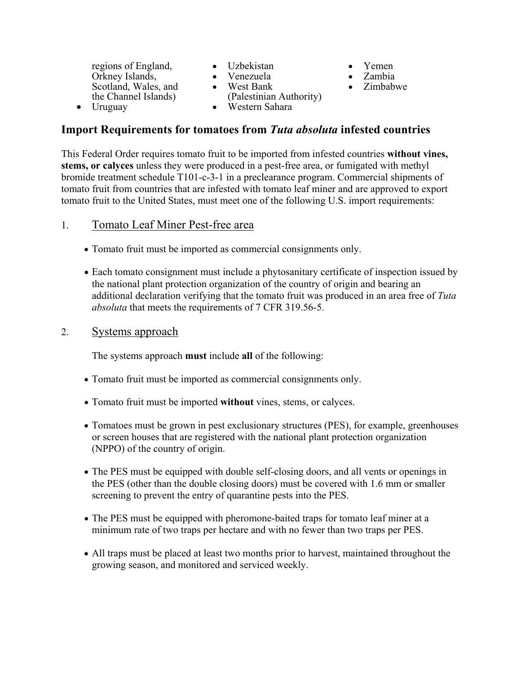regions of England, Orkney Islands, Scotland, Wales, and the Channel Islands) • Uruguay

- Uzbekistan
- Venezuela
- West Bank (Palestinian Authority)
- Yemen
	- Zambia
	- Zimbabwe

#### • Western Sahara

# **Import Requirements for tomatoes from** *Tuta absoluta* **infested countries**

This Federal Order requires tomato fruit to be imported from infested countries **without vines, stems, or calyces** unless they were produced in a pest-free area, or fumigated with methyl bromide treatment schedule T101-c-3-1 in a preclearance program. Commercial shipments of tomato fruit from countries that are infested with tomato leaf miner and are approved to export tomato fruit to the United States, must meet one of the following U.S. import requirements:

### 1. Tomato Leaf Miner Pest-free area

- Tomato fruit must be imported as commercial consignments only.
- Each tomato consignment must include a phytosanitary certificate of inspection issued by the national plant protection organization of the country of origin and bearing an additional declaration verifying that the tomato fruit was produced in an area free of *Tuta absoluta* that meets the requirements of 7 CFR 319.56-5.

## 2. Systems approach

The systems approach **must** include **all** of the following:

- Tomato fruit must be imported as commercial consignments only.
- Tomato fruit must be imported **without** vines, stems, or calyces.
- Tomatoes must be grown in pest exclusionary structures (PES), for example, greenhouses or screen houses that are registered with the national plant protection organization (NPPO) of the country of origin.
- The PES must be equipped with double self-closing doors, and all vents or openings in the PES (other than the double closing doors) must be covered with 1.6 mm or smaller screening to prevent the entry of quarantine pests into the PES.
- The PES must be equipped with pheromone-baited traps for tomato leaf miner at a minimum rate of two traps per hectare and with no fewer than two traps per PES.
- All traps must be placed at least two months prior to harvest, maintained throughout the growing season, and monitored and serviced weekly.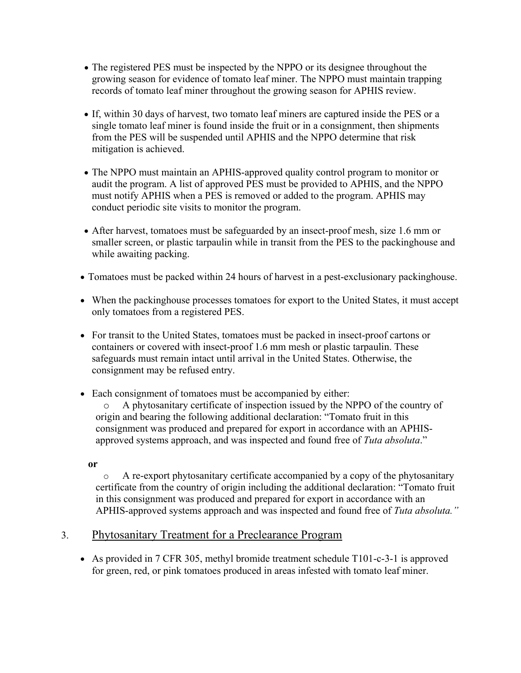- The registered PES must be inspected by the NPPO or its designee throughout the growing season for evidence of tomato leaf miner. The NPPO must maintain trapping records of tomato leaf miner throughout the growing season for APHIS review.
- If, within 30 days of harvest, two tomato leaf miners are captured inside the PES or a single tomato leaf miner is found inside the fruit or in a consignment, then shipments from the PES will be suspended until APHIS and the NPPO determine that risk mitigation is achieved.
- The NPPO must maintain an APHIS-approved quality control program to monitor or audit the program. A list of approved PES must be provided to APHIS, and the NPPO must notify APHIS when a PES is removed or added to the program. APHIS may conduct periodic site visits to monitor the program.
- After harvest, tomatoes must be safeguarded by an insect-proof mesh, size 1.6 mm or smaller screen, or plastic tarpaulin while in transit from the PES to the packinghouse and while awaiting packing.
- Tomatoes must be packed within 24 hours of harvest in a pest-exclusionary packinghouse.
- When the packinghouse processes tomatoes for export to the United States, it must accept only tomatoes from a registered PES.
- For transit to the United States, tomatoes must be packed in insect-proof cartons or containers or covered with insect-proof 1.6 mm mesh or plastic tarpaulin. These safeguards must remain intact until arrival in the United States. Otherwise, the consignment may be refused entry.
- Each consignment of tomatoes must be accompanied by either: o A phytosanitary certificate of inspection issued by the NPPO of the country of origin and bearing the following additional declaration: "Tomato fruit in this consignment was produced and prepared for export in accordance with an APHISapproved systems approach, and was inspected and found free of *Tuta absoluta*."

**or**

o A re-export phytosanitary certificate accompanied by a copy of the phytosanitary certificate from the country of origin including the additional declaration: "Tomato fruit in this consignment was produced and prepared for export in accordance with an APHIS-approved systems approach and was inspected and found free of *Tuta absoluta."*

# 3. Phytosanitary Treatment for a Preclearance Program

• As provided in 7 CFR 305, methyl bromide treatment schedule T101-c-3-1 is approved for green, red, or pink tomatoes produced in areas infested with tomato leaf miner.